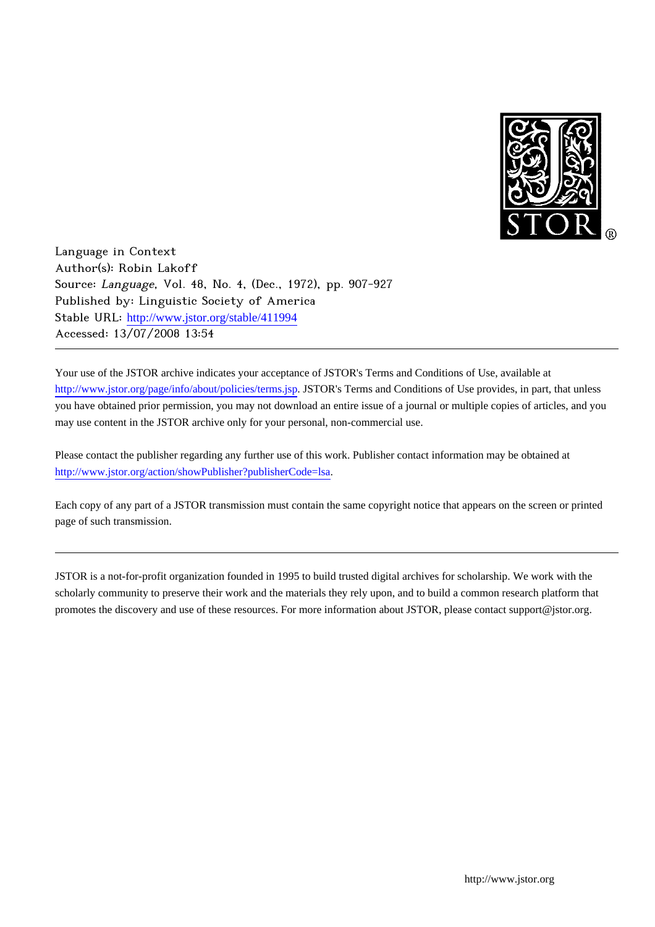

Language in Context Author(s): Robin Lakoff Source: Language, Vol. 48, No. 4, (Dec., 1972), pp. 907-927 Published by: Linguistic Society of America Stable URL: [http://www.jstor.org/stable/411994](http://www.jstor.org/stable/411994?origin=JSTOR-pdf) Accessed: 13/07/2008 13:54

Your use of the JSTOR archive indicates your acceptance of JSTOR's Terms and Conditions of Use, available at <http://www.jstor.org/page/info/about/policies/terms.jsp>. JSTOR's Terms and Conditions of Use provides, in part, that unless you have obtained prior permission, you may not download an entire issue of a journal or multiple copies of articles, and you may use content in the JSTOR archive only for your personal, non-commercial use.

Please contact the publisher regarding any further use of this work. Publisher contact information may be obtained at <http://www.jstor.org/action/showPublisher?publisherCode=lsa>.

Each copy of any part of a JSTOR transmission must contain the same copyright notice that appears on the screen or printed page of such transmission.

JSTOR is a not-for-profit organization founded in 1995 to build trusted digital archives for scholarship. We work with the scholarly community to preserve their work and the materials they rely upon, and to build a common research platform that promotes the discovery and use of these resources. For more information about JSTOR, please contact support@jstor.org.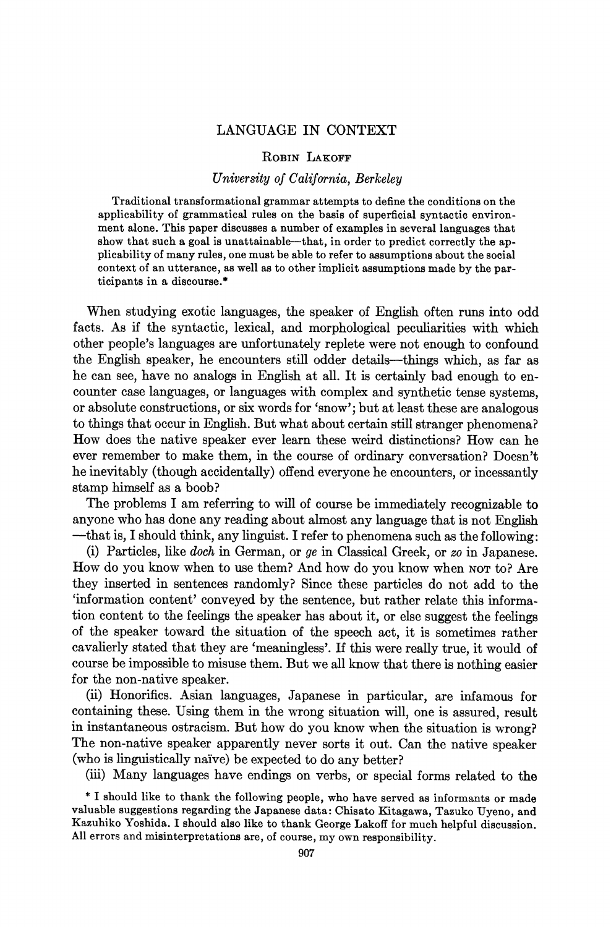## **LANGUAGE IN CONTEXT**

## **ROBIN LAKOFF**

## **University of California, Berkeley**

**Traditional transformational grammar attempts to define the conditions on the applicability of grammatical rules on the basis of superficial syntactic environment alone. This paper discusses a number of examples in several languages that**  show that such a goal is unattainable—that, in order to predict correctly the ap**plicability of many rules, one must be able to refer to assumptions about the social context of an utterance, as well as to other implicit assumptions made by the participants in a discourse.\*** 

**When studying exotic languages, the speaker of English often runs into odd facts. As if the syntactic, lexical, and morphological peculiarities with which other people's languages are unfortunately replete were not enough to confound the English speaker, he encounters still odder details-things which, as far as he can see, have no analogs in English at all. It is certainly bad enough to encounter case languages, or languages with complex and synthetic tense systems, or absolute constructions, or six words for 'snow'; but at least these are analogous to things that occur in English. But what about certain still stranger phenomena? How does the native speaker ever learn these weird distinctions? How can he ever remember to make them, in the course of ordinary conversation? Doesn't he inevitably (though accidentally) offend everyone he encounters, or incessantly stamp himself as a boob?** 

**The problems I am referring to will of course be immediately recognizable to anyone who has done any reading about almost any language that is not English -that is, I should think, any linguist. I refer to phenomena such as the following:** 

**(i) Particles, like doch in German, or ge in Classical Greek, or zo in Japanese.**  How do you know when to use them? And how do you know when NOT to? Are **they inserted in sentences randomly? Since these particles do not add to the 'information content' conveyed by the sentence, but rather relate this information content to the feelings the speaker has about it, or else suggest the feelings of the speaker toward the situation of the speech act, it is sometimes rather cavalierly stated that they are 'meaningless'. If this were really true, it would of course be impossible to misuse them. But we all know that there is nothing easier for the non-native speaker.** 

**(ii) Honorifics. Asian languages, Japanese in particular, are infamous for containing these. Using them in the wrong situation will, one is assured, result in instantaneous ostracism. But how do you know when the situation is wrong? The non-native speaker apparently never sorts it out. Can the native speaker (who is linguistically naive) be expected to do any better?** 

**(iii) Many languages have endings on verbs, or special forms related to the** 

**<sup>\*</sup> I should like to thank the following people, who have served as informants or made valuable suggestions regarding the Japanese data: Chisato Kitagawa, Tazuko Uyeno, and Kazuhiko Yoshida. I should also like to thank George Lakoff for much helpful discussion. All errors and misinterpretations are, of course, my own responsibility.**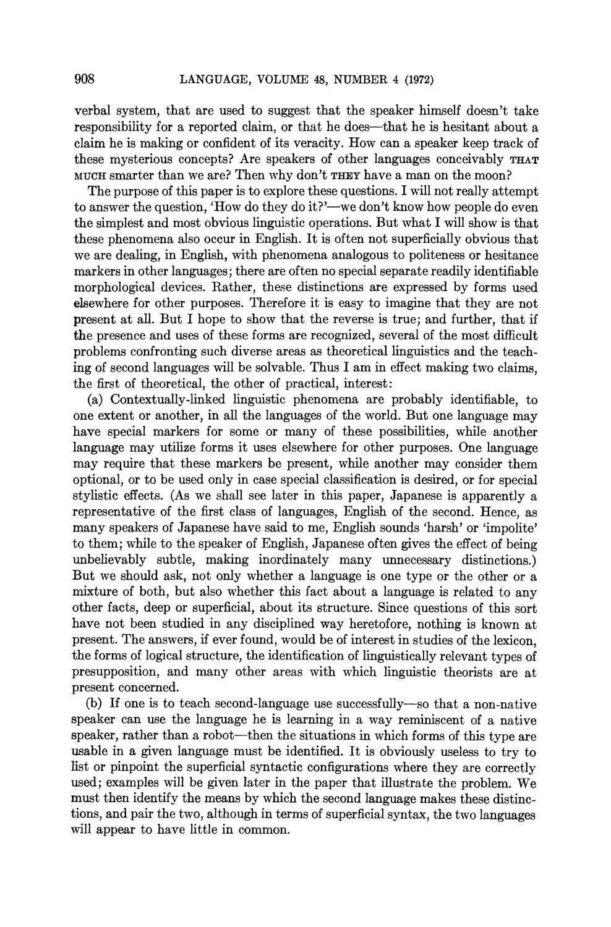**verbal system, that are used to suggest that the speaker himself doesn't take responsibility for a reported claim, or that he does-that he is hesitant about a claim he is making or confident of its veracity. How can a speaker keep track of**  these mysterious concepts? Are speakers of other languages conceivably **THAT MUCH smarter than we are? Then why don't THEY have a man on the moon?** 

**The purpose of this paper is to explore these questions. I will not really attempt**  to answer the question, 'How do they do it?'—we don't know how people do even **the simplest and most obvious linguistic operations. But what I will show is that these phenomena also occur in English. It is often not superficially obvious that we are dealing, in English, with phenomena analogous to politeness or hesitance markers in other languages; there are often no special separate readily identifiable morphological devices. Rather, these distinctions are expressed by forms used elsewhere for other purposes. Therefore it is easy to imagine that they are not present at all. But I hope to show that the reverse is true; and further, that if the presence and uses of these forms are recognized, several of the most difficult problems confronting such diverse areas as theoretical linguistics and the teaching of second languages will be solvable. Thus I am in effect making two claims, the first of theoretical, the other of practical, interest:** 

**(a) Contextually-linked linguistic phenomena are probably identifiable, to one extent or another, in all the languages of the world. But one language may have special markers for some or many of these possibilities, while another language may utilize forms it uses elsewhere for other purposes. One language may require that these markers be present, while another may consider them optional, or to be used only in case special classification is desired, or for special stylistic effects. (As we shall see later in this paper, Japanese is apparently a representative of the first class of languages, English of the second. Hence, as many speakers of Japanese have said to me, English sounds 'harsh' or 'impolite' to them; while to the speaker of English, Japanese often gives the effect of being unbelievably subtle, making inordinately many unnecessary distinctions.) But we should ask, not only whether a language is one type or the other or a mixture of both, but also whether this fact about a language is related to any other facts, deep or superficial, about its structure. Since questions of this sort have not been studied in any disciplined way heretofore, nothing is known at present. The answers, if ever found, would be of interest in studies of the lexicon, the forms of logical structure, the identification of linguistically relevant types of presupposition, and many other areas with which linguistic theorists are at present concerned.** 

**(b) If one is to teach second-language use successfully-so that a non-native speaker can use the language he is learning in a way reminiscent of a native**  speaker, rather than a robot-then the situations in which forms of this type are **usable in a given language must be identified. It is obviously useless to try to list or pinpoint the superficial syntactic configurations where they are correctly used; examples will be given later in the paper that illustrate the problem. We must then identify the means by which the second language makes these distinctions, and pair the two, although in terms of superficial syntax, the two languages will appear to have little in common.**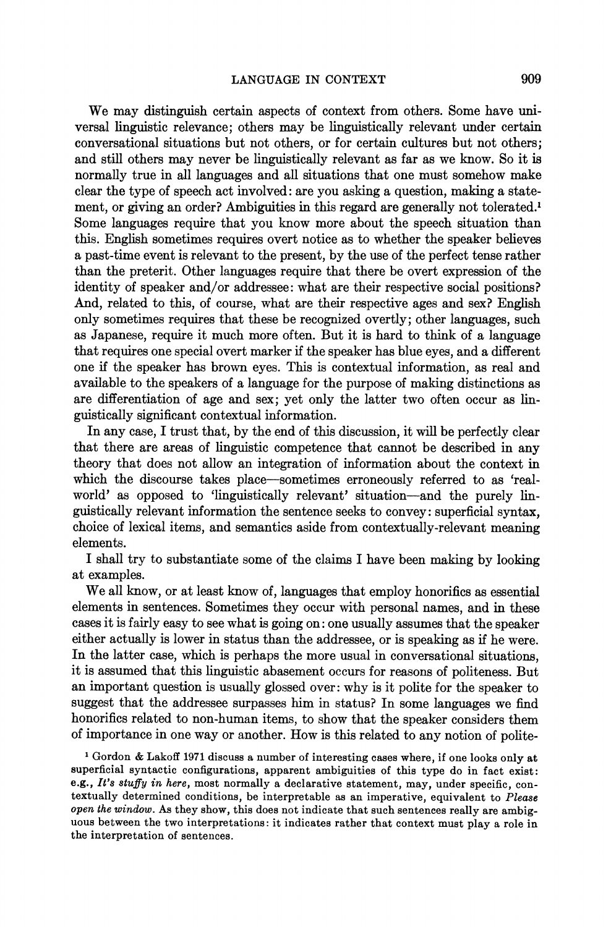**We may distinguish certain aspects of context from others. Some have universal linguistic relevance; others may be linguistically relevant under certain conversational situations but not others, or for certain cultures but not others; and still others may never be linguistically relevant as far as we know. So it is normally true in all languages and all situations that one must somehow make clear the type of speech act involved: are you asking a question, making a statement, or giving an order? Ambiguities in this regard are generally not tolerated.l Some languages require that you know more about the speech situation than this. English sometimes requires overt notice as to whether the speaker believes a past-time event is relevant to the present, by the use of the perfect tense rather than the preterit. Other languages require that there be overt expression of the identity of speaker and/or addressee: what are their respective social positions? And, related to this, of course, what are their respective ages and sex? English only sometimes requires that these be recognized overtly; other languages, such as Japanese, require it much more often. But it is hard to think of a language that requires one special overt marker if the speaker has blue eyes, and a different one if the speaker has brown eyes. This is contextual information, as real and available to the speakers of a language for the purpose of making distinctions as are differentiation of age and sex; yet only the latter two often occur as linguistically significant contextual information.** 

**In any case, I trust that, by the end of this discussion, it will be perfectly clear that there are areas of linguistic competence that cannot be described in any theory that does not allow an integration of information about the context in**  which the discourse takes place—sometimes erroneously referred to as 'real**world' as opposed to 'linguistically relevant' situation-and the purely linguistically relevant information the sentence seeks to convey: superficial syntax, choice of lexical items, and semantics aside from contextually-relevant meaning elements.** 

**I shall try to substantiate some of the claims I have been making by looking at examples.** 

**We all know, or at least know of, languages that employ honorifics as essential elements in sentences. Sometimes they occur with personal names, and in these cases it is fairly easy to see what is going on: one usually assumes that the speaker either actually is lower in status than the addressee, or is speaking as if he were. In the latter case, which is perhaps the more usual in conversational situations, it is assumed that this linguistic abasement occurs for reasons of politeness. But an important question is usually glossed over: why is it polite for the speaker to suggest that the addressee surpasses him in status? In some languages we find honorifics related to non-human items, to show that the speaker considers them of importance in one way or another. How is this related to any notion of polite-**

**1 Gordon & Lakoff 1971 discuss a number of interesting cases where, if one looks only at superficial syntactic configurations, apparent ambiguities of this type do in fact exist: e.g., It's stuffy in here, most normally a declarative statement, may, under specific, contextually determined conditions, be interpretable as an imperative, equivalent to Please open the window. As they show, this does not indicate that such sentences really are ambiguous between the two interpretations: it indicates rather that context must play a role in the interpretation of sentences.**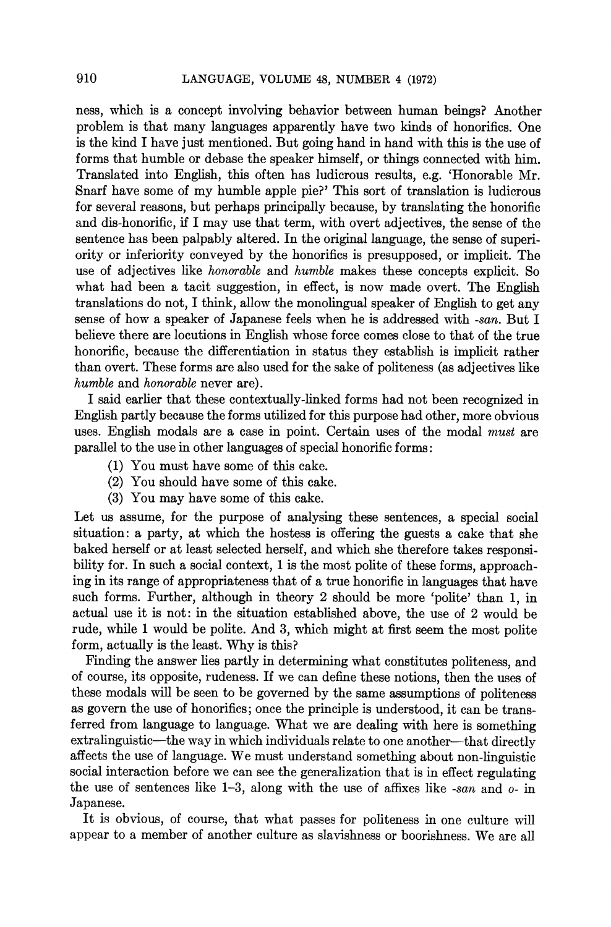**ness, which is a concept involving behavior between human beings? Another problem is that many languages apparently have two kinds of honorifics. One is the kind I have just mentioned. But going hand in hand with this is the use of forms that humble or debase the speaker himself, or things connected with him. Translated into English, this often has ludicrous results, e.g. 'Honorable Mr. Snarf have some of my humble apple pie?' This sort of translation is ludicrous for several reasons, but perhaps principally because, by translating the honorific and dis-honorific, if I may use that term, with overt adjectives, the sense of the sentence has been palpably altered. In the original language, the sense of superiority or inferiority conveyed by the honorifics is presupposed, or implicit. The use of adjectives like honorable and humble makes these concepts explicit. So what had been a tacit suggestion, in effect, is now made overt. The English translations do not, I think, allow the monolingual speaker of English to get any sense of how a speaker of Japanese feels when he is addressed with -san. But I believe there are locutions in English whose force comes close to that of the true honorific, because the differentiation in status they establish is implicit rather than overt. These forms are also used for the sake of politeness (as adjectives like humble and honorable never are).** 

**I said earlier that these contextually-linked forms had not been recognized in English partly because the forms utilized for this purpose had other, more obvious uses. English modals are a case in point. Certain uses of the modal must are parallel to the use in other languages of special honorific forms:** 

- **(1) You must have some of this cake.**
- **(2) You should have some of this cake.**
- **(3) You may have some of this cake.**

**Let us assume, for the purpose of analysing these sentences, a special social situation: a party, at which the hostess is offering the guests a cake that she baked herself or at least selected herself, and which she therefore takes responsi**bility for. In such a social context, 1 is the most polite of these forms, approach**ing in its range of appropriateness that of a true honorific in languages that have such forms. Further, although in theory 2 should be more 'polite' than 1, in actual use it is not: in the situation established above, the use of 2 would be rude, while 1 would be polite. And 3, which might at first seem the most polite form, actually is the least. Why is this?** 

**Finding the answer lies partly in determining what constitutes politeness, and of course, its opposite, rudeness. If we can define these notions, then the uses of these modals will be seen to be governed by the same assumptions of politeness as govern the use of honorifics; once the principle is understood, it can be transferred from language to language. What we are dealing with here is something extralinguistic-the way in which individuals relate to one another-that directly affects the use of language. We must understand something about non-linguistic social interaction before we can see the generalization that is in effect regulating the use of sentences like 1-3, along with the use of affixes like -san and o- in Japanese.** 

**It is obvious, of course, that what passes for politeness in one culture will appear to a member of another culture as slavishness or boorishness. We are all**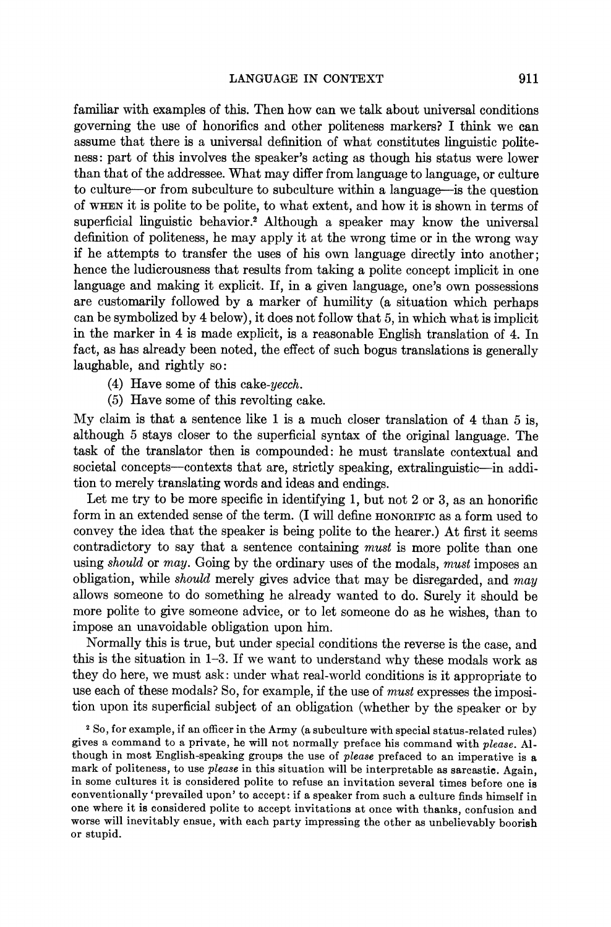**familiar with examples of this. Then how can we talk about universal conditions governing the use of honorifics and other politeness markers? I think we can assume that there is a universal definition of what constitutes linguistic politeness: part of this involves the speaker's acting as though his status were lower than that of the addressee. What may differ from language to language, or culture to culture-or from subculture to subculture within a language-is the question of WHEN it is polite to be polite, to what extent, and how it is shown in terms of superficial linguistic behavior.2 Although a speaker may know the universal definition of politeness, he may apply it at the wrong time or in the wrong way if he attempts to transfer the uses of his own language directly into another; hence the ludicrousness that results from taking a polite concept implicit in one language and making it explicit. If, in a given language, one's own possessions are customarily followed by a marker of humility (a situation which perhaps can be symbolized by 4 below), it does not follow that 5, in which what is implicit in the marker in 4 is made explicit, is a reasonable English translation of 4. In fact, as has already been noted, the effect of such bogus translations is generally laughable, and rightly so:** 

- **(4) Have some of this cake-yecch.**
- **(5) Have some of this revolting cake.**

**My claim is that a sentence like 1 is a much closer translation of 4 than 5 is, although 5 stays closer to the superficial syntax of the original language. The task of the translator then is compounded: he must translate contextual and**  societal concepts—contexts that are, strictly speaking, extralinguistic—in addi**tion to merely translating words and ideas and endings.** 

Let me try to be more specific in identifying 1, but not 2 or 3, as an honorific **form in an extended sense of the term. (I will define <b>HONORIFIC** as a form used to **convey the idea that the speaker is being polite to the hearer.) At first it seems contradictory to say that a sentence containing must is more polite than one using should or may. Going by the ordinary uses of the modals, must imposes an obligation, while should merely gives advice that may be disregarded, and may allows someone to do something he already wanted to do. Surely it should be more polite to give someone advice, or to let someone do as he wishes, than to impose an unavoidable obligation upon him.** 

**Normally this is true, but under special conditions the reverse is the case, and this is the situation in 1-3. If we want to understand why these modals work as they do here, we must ask: under what real-world conditions is it appropriate to use each of these modals? So, for example, if the use of must expresses the imposition upon its superficial subject of an obligation (whether by the speaker or by** 

**<sup>2</sup>So, for example, if an officer in the Army (a subculture with special status-related rules) gives a command to a private, he will not normally preface his command with please. Although in most English-speaking groups the use of please prefaced to an imperative is a mark of politeness, to use please in this situation will be interpretable as sarcastic. Again, in some cultures it is considered polite to refuse an invitation several times before one is conventionally 'prevailed upon' to accept: if a speaker from such a culture finds himself in one where it is considered polite to accept invitations at once with thanks, confusion and worse will inevitably ensue, with each party impressing the other as unbelievably boorish or stupid.**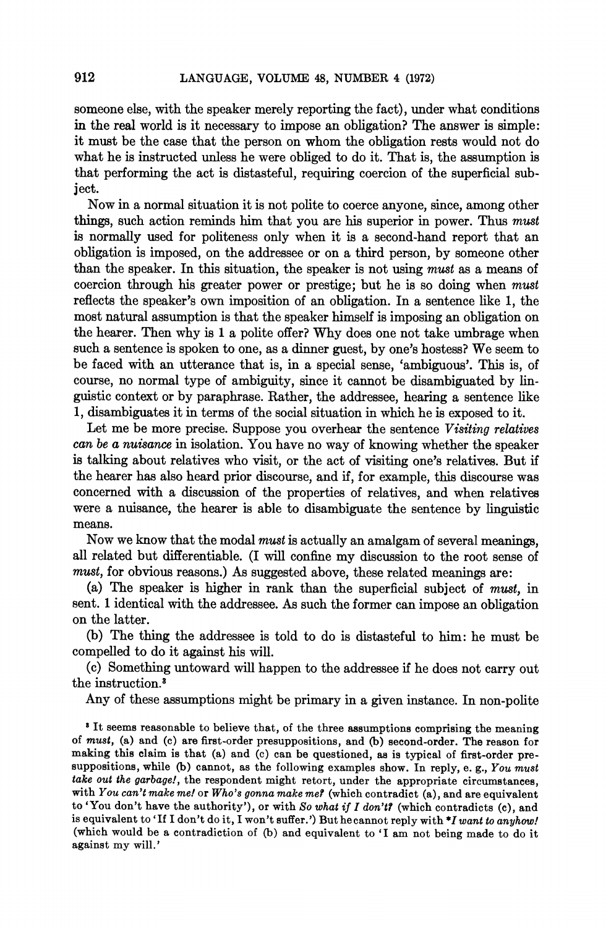**someone else, with the speaker merely reporting the fact), under what conditions in the real world is it necessary to impose an obligation? The answer is simple: it must be the case that the person on whom the obligation rests would not do what he is instructed unless he were obliged to do it. That is, the assumption is that performing the act is distasteful, requiring coercion of the superficial subject.** 

**Now in a normal situation it is not polite to coerce anyone, since, among other things, such action reminds him that you are his superior in power. Thus must is normally used for politeness only when it is a second-hand report that an obligation is imposed, on the addressee or on a third person, by someone other than the speaker. In this situation, the speaker is not using must as a means of coercion through his greater power or prestige; but he is so doing when must reflects the speaker's own imposition of an obligation. In a sentence like 1, the most natural assumption is that the speaker himself is imposing an obligation on the hearer. Then why is 1 a polite offer? Why does one not take umbrage when such a sentence is spoken to one, as a dinner guest, by one's hostess? We seem to be faced with an utterance that is, in a special sense, 'ambiguous'. This is, of course, no normal type of ambiguity, since it cannot be disambiguated by linguistic context or by paraphrase. Rather, the addressee, hearing a sentence like 1, disambiguates it in terms of the social situation in which he is exposed to it.** 

Let me be more precise. Suppose you overhear the sentence Visiting relatives **can be a nuisance in isolation. You have no way of knowing whether the speaker**  is talking about relatives who visit, or the act of visiting one's relatives. But if **the hearer has also heard prior discourse, and if, for example, this discourse was concerned with a discussion of the properties of relatives, and when relatives were a nuisance, the hearer is able to disambiguate the sentence by linguistic means.** 

**Now we know that the modal must is actually an amalgam of several meanings, all related but differentiable. (I will confine my discussion to the root sense of must, for obvious reasons.) As suggested above, these related meanings are:** 

**(a) The speaker is higher in rank than the superficial subject of must, in sent. 1 identical with the addressee. As such the former can impose an obligation on the latter.** 

**(b) The thing the addressee is told to do is distasteful to him: he must be compelled to do it against his will.** 

**(c) Something untoward will happen to the addressee if he does not carry out the instruction.3** 

**Any of these assumptions might be primary in a given instance. In non-polite** 

**8 It seems reasonable to believe that, of the three assumptions comprising the meaning of must, (a) and (c) are first-order presuppositions, and (b) second-order. The reason for making this claim is that (a) and (c) can be questioned, as is typical of first-order presuppositions, while (b) cannot, as the following examples show. In reply, e. g., You must take out the garbage!, the respondent might retort, under the appropriate circumstances, with You can't make me! or Who's gonna make me? (which contradict (a), and are equivalent to 'You don't have the authority'), or with So what if I don't? (which contradicts (c), and is equivalent to 'If I don't do it, I won't suffer.') But he cannot reply with \*I want to anyhow! (which would be a contradiction of (b) and equivalent to 'I am not being made to do it against my will.'**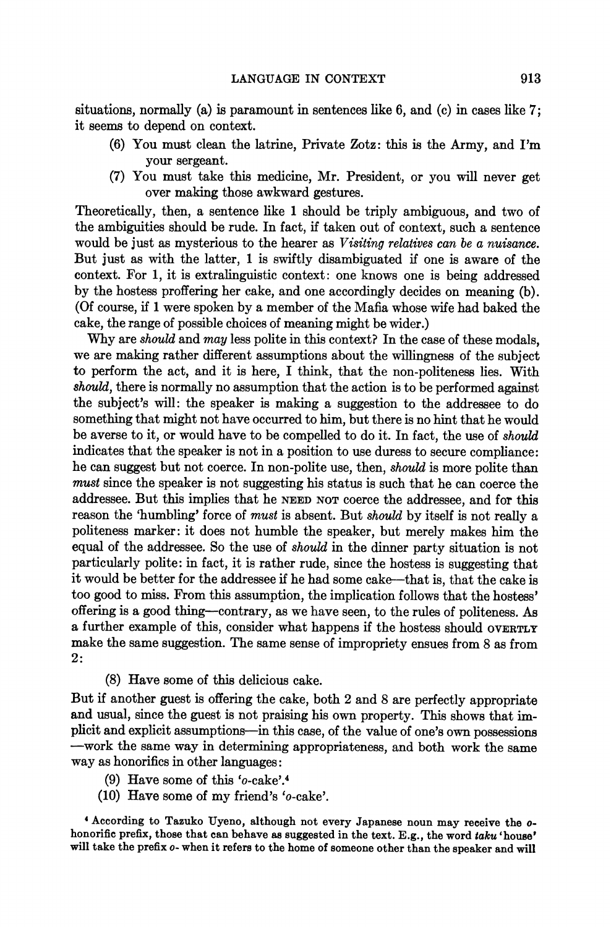**situations, normally (a) is paramount in sentences like 6, and (c) in cases like 7; it seems to depend on context.** 

- **(6) You must clean the latrine, Private Zotz: this is the Army, and I'm your sergeant.**
- **(7) You must take this medicine, Mr. President, or you will never get over making those awkward gestures.**

**Theoretically, then, a sentence like 1 should be triply ambiguous, and two of the ambiguities should be rude. In fact, if taken out of context, such a sentence would be just as mysterious to the hearer as Visiting relatives can be a nuisance. But just as with the latter, 1 is swiftly disambiguated if one is aware of the context. For 1, it is extralinguistic context: one knows one is being addressed by the hostess proffering her cake, and one accordingly decides on meaning (b). (Of course, if 1 were spoken by a member of the Mafia whose wife had baked the cake, the range of possible choices of meaning might be wider.)** 

**Why are should and may less polite in this context? In the case of these modals, we are making rather different assumptions about the willingness of the subject to perform the act, and it is here, I think, that the non-politeness lies. With should, there is normally no assumption that the action is to be performed against the subject's will: the speaker is making a suggestion to the addressee to do something that might not have occurred to him, but there is no hint that he would be averse to it, or would have to be compelled to do it. In fact, the use of should indicates that the speaker is not in a position to use duress to secure compliance: he can suggest but not coerce. In non-polite use, then, should is more polite than must since the speaker is not suggesting his status is such that he can coerce the addressee. But this implies that he NEED NOT coerce the addressee, and for this reason the 'humbling' force of must is absent. But should by itself is not really a politeness marker: it does not humble the speaker, but merely makes him the equal of the addressee. So the use of should in the dinner party situation is not particularly polite: in fact, it is rather rude, since the hostess is suggesting that it would be better for the addressee if he had some cake-that is, that the cake is too good to miss. From this assumption, the implication follows that the hostess' offering is a good thing-contrary, as we have seen, to the rules of politeness. As a further example of this, consider what happens if the hostess should OVERTLY make the same suggestion. The same sense of impropriety ensues from 8 as from 2:** 

**(8) Have some of this delicious cake.** 

**But if another guest is offering the cake, both 2 and 8 are perfectly appropriate and usual, since the guest is not praising his own property. This shows that implicit and explicit assumptions-in this case, of the value of one's own possessions -work the same way in determining appropriateness, and both work the same way as honorifics in other languages:** 

- **(9) Have some of this 'o-cake'.4**
- **(10) Have some of my friend's 'o-cake'.**

**According to Tazuko Uyeno, although not every Japanese noun may receive the ohonorific prefix, those that can behave as suggested in the text. E.g., the word taku 'house' will take the prefix o- when it refers to the home of someone other than the speaker and will**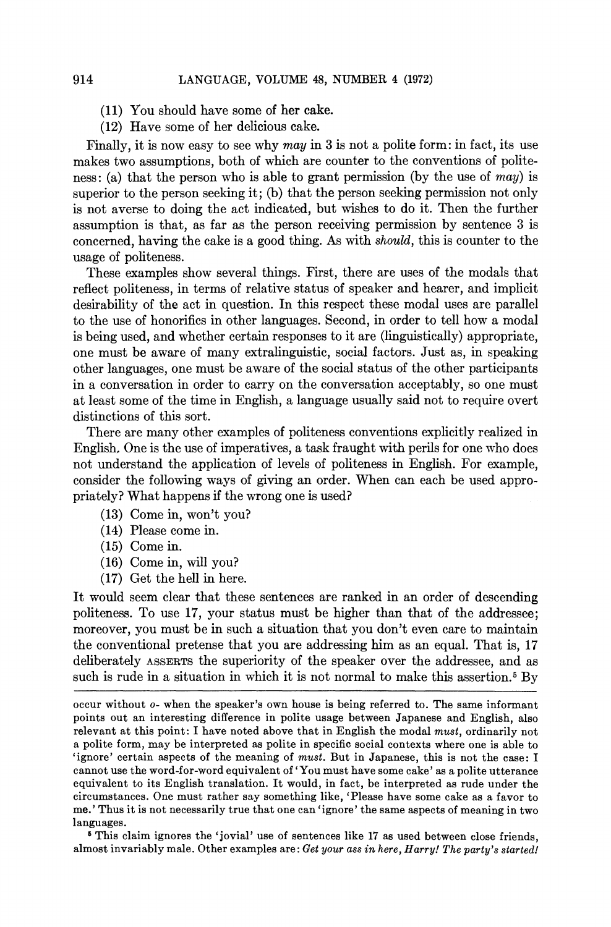- **(11) You should have some of her cake.**
- **(12) Have some of her delicious cake.**

**Finally, it is now easy to see why may in 3 is not a polite form: in fact, its use makes two assumptions, both of which are counter to the conventions of politeness: (a) that the person who is able to grant permission (by the use of may) is superior to the person seeking it; (b) that the person seeking permission not only is not averse to doing the act indicated, but wishes to do it. Then the further assumption is that, as far as the person receiving permission by sentence 3 is concerned, having the cake is a good thing. As with should, this is counter to the usage of politeness.** 

**These examples show several things. First, there are uses of the modals that reflect politeness, in terms of relative status of speaker and hearer, and implicit desirability of the act in question. In this respect these modal uses are parallel to the use of honorifics in other languages. Second, in order to tell how a modal is being used, and whether certain responses to it are (linguistically) appropriate, one must be aware of many extralinguistic, social factors. Just as, in speaking other languages, one must be aware of the social status of the other participants in a conversation in order to carry on the conversation acceptably, so one must at least some of the time in English, a language usually said not to require overt distinctions of this sort.** 

**There are many other examples of politeness conventions explicitly realized in English, One is the use of imperatives, a task fraught with perils for one who does not understand the application of levels of politeness in English. For example, consider the following ways of giving an order. When can each be used appropriately? What happens if the wrong one is used?** 

- **(13) Come in, won't you?**
- **(14) Please come in.**
- **(15) Come in.**
- **(16) Come in, will you?**
- **(17) Get the hell in here.**

**It would seem clear that these sentences are ranked in an order of descending politeness. To use 17, your status must be higher than that of the addressee; moreover, you must be in such a situation that you don't even care to maintain the conventional pretense that you are addressing him as an equal. That is, 17 deliberately ASSERTS the superiority of the speaker over the addressee, and as such is rude in a situation in which it is not normal to make this assertion.5 By** 

**<sup>5</sup>This claim ignores the 'jovial' use of sentences like 17 as used between close friends, almost invariably male. Other examples are: Get your ass in here, Harry! The party's started!** 

**occur without o- when the speaker's own house is being referred to. The same informant points out an interesting difference in polite usage between Japanese and English, also relevant at this point: I have noted above that in English the modal must, ordinarily not a polite form, may be interpreted as polite in specific social contexts where one is able to 'ignore' certain aspects of the meaning of must. But in Japanese, this is not the case: I cannot use the word-for-word equivalent of 'You must have some cake' as a polite utterance equivalent to its English translation. It would, in fact, be interpreted as rude under the circumstances. One must rather say something like, 'Please have some cake as a favor to me.' Thus it is not necessarily true that one can 'ignore' the same aspects of meaning in two languages.**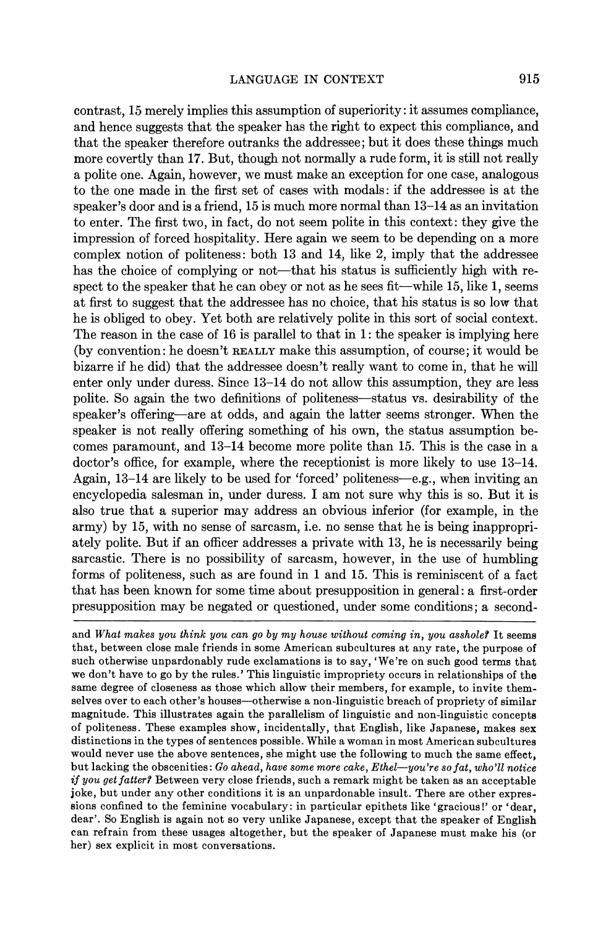**contrast, 15 merely implies this assumption of superiority: it assumes compliance, and hence suggests that the speaker has the right to expect this compliance, and that the speaker therefore outranks the addressee; but it does these things much more covertly than 17. But, though not normally a rude form, it is still not really a polite one. Again, however, we must make an exception for one case, analogous to the one made in the first set of cases with modals: if the addressee is at the speaker's door and is a friend, 15 is much more normal than 13-14 as an invitation to enter. The first two, in fact, do not seem polite in this context: they give the impression of forced hospitality. Here again we seem to be depending on a more complex notion of politeness: both 13 and 14, like 2, imply that the addressee**  has the choice of complying or not—that his status is sufficiently high with re**spect to the speaker that he can obey or not as he sees fit-while 15, like 1, seems at first to suggest that the addressee has no choice, that his status is so low that he is obliged to obey. Yet both are relatively polite in this sort of social context. The reason in the case of 16 is parallel to that in 1: the speaker is implying here (by convention: he doesn't REALLY make this assumption, of course; it would be bizarre if he did) that the addressee doesn't really want to come in, that he will enter only under duress. Since 13-14 do not allow this assumption, they are less polite. So again the two definitions of politeness-status vs. desirability of the speaker's offering-are at odds, and again the latter seems stronger. When the speaker is not really offering something of his own, the status assumption becomes paramount, and 13-14 become more polite than 15. This is the case in a doctor's office, for example, where the receptionist is more likely to use 13-14.**  Again, 13-14 are likely to be used for 'forced' politeness-e.g., when inviting an **encyclopedia salesman in, under duress. I am not sure why this is so. But it is also true that a superior may address an obvious inferior (for example, in the army) by 15, with no sense of sarcasm, i.e. no sense that he is being inappropriately polite. But if an officer addresses a private with 13, he is necessarily being sarcastic. There is no possibility of sarcasm, however, in the use of humbling forms of politeness, such as are found in 1 and 15. This is reminiscent of a fact that has been known for some time about presupposition in general: a first-order presupposition may be negated or questioned, under some conditions; a second-**

**and What makes you think you can go by my house without coming in, you asshole? It seems that, between close male friends in some American subcultures at any rate, the purpose of such otherwise unpardonably rude exclamations is to say, 'We're on such good terms that we don't have to go by the rules.' This linguistic impropriety occurs in relationships of the same degree of closeness as those which allow their members, for example, to invite themselves over to each other's houses-otherwise a non-linguistic breach of propriety of similar magnitude. This illustrates again the parallelism of linguistic and non-linguistic concepts of politeness. These examples show, incidentally, that English, like Japanese, makes sex distinctions in the types of sentences possible. While a woman in most American subcultures would never use the above sentences, she might use the following to much the same effect, but lacking the obscenities: Go ahead, have some more cake, Ethel-you're so fat, who'll notice if you get fatter? Between very close friends, such a remark might be taken as an acceptable joke, but under any other conditions it is an unpardonable insult. There are other expressions confined to the feminine vocabulary: in particular epithets like 'gracious!' or 'dear, dear'. So English is again not so very unlike Japanese, except that the speaker of English can refrain from these usages altogether, but the speaker of Japanese must make his (or her) sex explicit in most conversations.**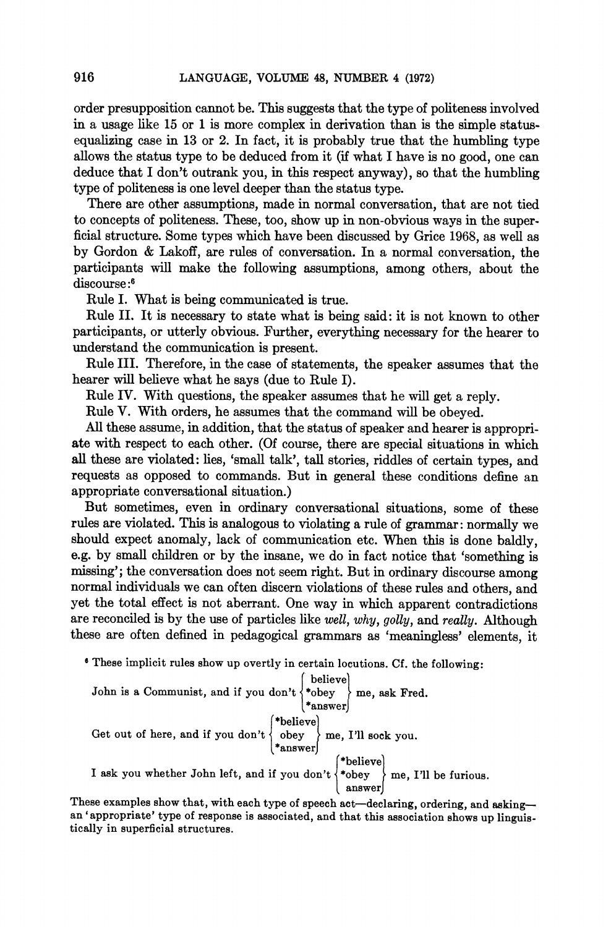**order presupposition cannot be. This suggests that the type of politeness involved in a usage like 15 or 1 is more complex in derivation than is the simple statusequalizing case in 13 or 2. In fact, it is probably true that the humbling type allows the status type to be deduced from it (if what I have is no good, one can deduce that I don't outrank you, in this respect anyway), so that the humbling type of politeness is one level deeper than the status type.** 

**There are other assumptions, made in normal conversation, that are not tied to concepts of politeness. These, too, show up in non-obvious ways in the superficial structure. Some types which have been discussed by Grice 1968, as well as by Gordon & Lakoff, are rules of conversation. In a normal conversation, the participants will make the following assumptions, among others, about the discourse :6** 

**Rule I. What is being communicated is true.** 

**Rule II. It is necessary to state what is being said: it is not known to other participants, or utterly obvious. Further, everything necessary for the hearer to understand the communication is present.** 

**Rule III. Therefore, in the case of statements, the speaker assumes that the hearer will believe what he says (due to Rule I).** 

**Rule IV. With questions, the speaker assumes that he will get a reply.** 

**Rule V. With orders, he assumes that the command will be obeyed.** 

**All these assume, in addition, that the status of speaker and hearer is appropriate with respect to each other. (Of course, there are special situations in which all these are violated: lies, 'small talk', tall stories, riddles of certain types, and requests as opposed to commands. But in general these conditions define an appropriate conversational situation.)** 

**But sometimes, even in ordinary conversational situations, some of these rules are violated. This is analogous to violating a rule of grammar: normally we should expect anomaly, lack of communication etc. When this is done baldly, e.g. by small children or by the insane, we do in fact notice that 'something is missing'; the conversation does not seem right. But in ordinary discourse among normal individuals we can often discern violations of these rules and others, and yet the total effect is not aberrant. One way in which apparent contradictions are reconciled is by the use of particles like well, why, golly, and really. Although these are often defined in pedagogical grammars as 'meaningless' elements, it** 

**6 These implicit rules show up overtly in certain locutions. Cf. the following:** 

| John is a Communist, and if you don't $\left\{\begin{array}{c}\text{believe} \\ \text{*obey} \\ \text{*answer}\end{array}\right\}$ me, ask Fred.                                |  |
|---------------------------------------------------------------------------------------------------------------------------------------------------------------------------------|--|
| s $\alpha$ out of here, and if you don't $\begin{pmatrix} * \\ * \text{bebye} \\ * \text{answer} \end{pmatrix}$ me, I'll sock you.<br>$(* \text{believe})$ $(* \text{believe})$ |  |
| (*answer)<br>ask you whether John left, and if you don't $\begin{Bmatrix} * \\ * \\ * \\ * \end{Bmatrix}$ me, I'll be furious<br>answer                                         |  |

**These examples show that, with each type of speech act-declaring, ordering, and askingan 'appropriate' type of response is associated, and that this association shows up linguistically in superficial structures.**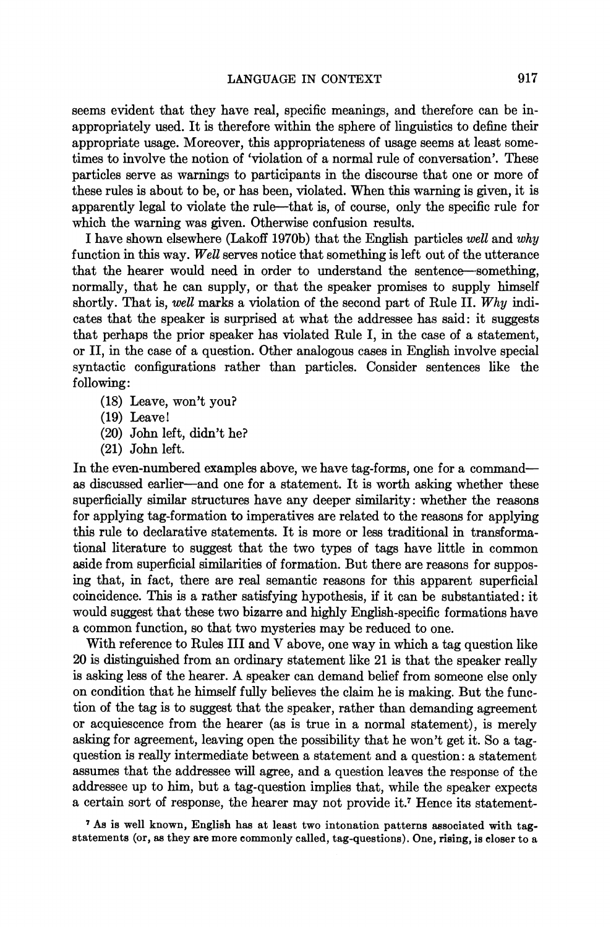**seems evident that they have real, specific meanings, and therefore can be inappropriately used. It is therefore within the sphere of linguistics to define their appropriate usage. Moreover, this appropriateness of usage seems at least sometimes to involve the notion of 'violation of a normal rule of conversation'. These particles serve as warnings to participants in the discourse that one or more of these rules is about to be, or has been, violated. When this warning is given, it is apparently legal to violate the rule-that is, of course, only the specific rule for which the warning was given. Otherwise confusion results.** 

**I have shown elsewhere (Lakoff 1970b) that the English particles well and why function in this way. Well serves notice that something is left out of the utterance that the hearer would need in order to understand the sentence-something, normally, that he can supply, or that the speaker promises to supply himself shortly. That is, well marks a violation of the second part of Rule II. Why indicates that the speaker is surprised at what the addressee has said: it suggests that perhaps the prior speaker has violated Rule I, in the case of a statement, or II, in the case of a question. Other analogous cases in English involve special syntactic configurations rather than particles. Consider sentences like the following:** 

- **(18) Leave, won't you?**
- **(19) Leave!**
- **(20) John left, didn't he?**
- **(21) John left.**

**In the even-numbered examples above, we have tag-forms, one for a commandas discussed earlier-and one for a statement. It is worth asking whether these superficially similar structures have any deeper similarity: whether the reasons for applying tag-formation to imperatives are related to the reasons for applying this rule to declarative statements. It is more or less traditional in transformational literature to suggest that the two types of tags have little in common aside from superficial similarities of formation. But there are reasons for supposing that, in fact, there are real semantic reasons for this apparent superficial coincidence. This is a rather satisfying hypothesis, if it can be substantiated: it would suggest that these two bizarre and highly English-specific formations have a common function, so that two mysteries may be reduced to one.** 

**With reference to Rules III and V above, one way in which a tag question like 20 is distinguished from an ordinary statement like 21 is that the speaker really is asking less of the hearer. A speaker can demand belief from someone else only on condition that he himself fully believes the claim he is making. But the function of the tag is to suggest that the speaker, rather than demanding agreement or acquiescence from the hearer (as is true in a normal statement), is merely asking for agreement, leaving open the possibility that he won't get it. So a tagquestion is really intermediate between a statement and a question: a statement assumes that the addressee will agree, and a question leaves the response of the addressee up to him, but a tag-question implies that, while the speaker expects a certain sort of response, the hearer may not provide it.7 Hence its statement-**

**7As is well known, English has at least two intonation patterns associated with tagstatements (or, as they are more commonly called, tag-questions). One, rising, is closer to a**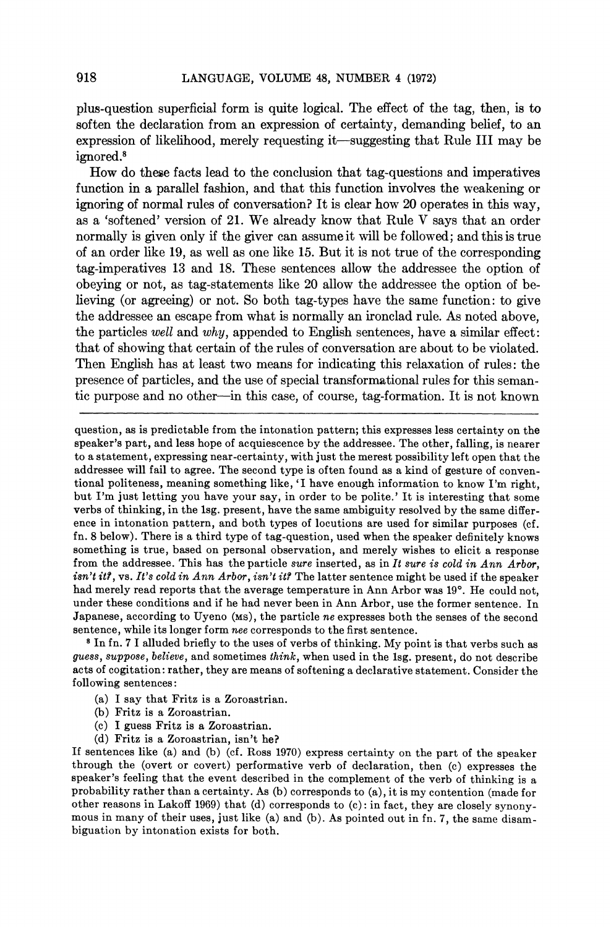**plus-question superficial form is quite logical. The effect of the tag, then, is to soften the declaration from an expression of certainty, demanding belief, to an**  expression of likelihood, merely requesting it—suggesting that Rule III may be **ignored.8** 

**How do these facts lead to the conclusion that tag-questions and imperatives function in a parallel fashion, and that this function involves the weakening or ignoring of normal rules of conversation? It is clear how 20 operates in this way, as a 'softened' version of 21. We already know that Rule V says that an order normally is given only if the giver can assume it will be followed; and this is true of an order like 19, as well as one like 15. But it is not true of the corresponding tag-imperatives 13 and 18. These sentences allow the addressee the option of obeying or not, as tag-statements like 20 allow the addressee the option of believing (or agreeing) or not. So both tag-types have the same function: to give the addressee an escape from what is normally an ironclad rule. As noted above, the particles well and why, appended to English sentences, have a similar effect: that of showing that certain of the rules of conversation are about to be violated. Then English has at least two means for indicating this relaxation of rules: the presence of particles, and the use of special transformational rules for this semantic purpose and no other-in this case, of course, tag-formation. It is not known** 

**question, as is predictable from the intonation pattern; this expresses less certainty on the speaker's part, and less hope of acquiescence by the addressee. The other, falling, is nearer to a statement, expressing near-certainty, with just the merest possibility left open that the addressee will fail to agree. The second type is often found as a kind of gesture of conventional politeness, meaning something like, 'I have enough information to know I'm right, but I'm just letting you have your say, in order to be polite.' It is interesting that some verbs of thinking, in the lsg. present, have the same ambiguity resolved by the same difference in intonation pattern, and both types of locutions are used for similar purposes (cf. fn. 8 below). There is a third type of tag-question, used when the speaker definitely knows something is true, based on personal observation, and merely wishes to elicit a response from the addressee. This has the particle sure inserted, as in It sure is cold in Ann Arbor,**  isn't it?, vs. It's cold in Ann Arbor, isn't it? The latter sentence might be used if the speaker **had merely read reports that the average temperature in Ann Arbor was 19?. He could not, under these conditions and if he had never been in Ann Arbor, use the former sentence. In Japanese, according to Uyeno (MS), the particle ne expresses both the senses of the second sentence, while its longer form nee corresponds to the first sentence.** 

**<sup>8</sup>In fn. 7 I alluded briefly to the uses of verbs of thinking. My point is that verbs such as guess, suppose, believe, and sometimes think, when used in the lsg. present, do not describe acts of cogitation: rather, they are means of softening a declarative statement. Consider the following sentences:** 

- **(a) I say that Fritz is a Zoroastrian.**
- **(b) Fritz is a Zoroastrian.**
- **(c) I guess Fritz is a Zoroastrian.**
- **(d) Fritz is a Zoroastrian, isn't he?**

**If sentences like (a) and (b) (cf. Ross 1970) express certainty on the part of the speaker through the (overt or covert) performative verb of declaration, then (c) expresses the speaker's feeling that the event described in the complement of the verb of thinking is a probability rather than a certainty. As (b) corresponds to (a), it is my contention (made for other reasons in Lakoff 1969) that (d) corresponds to (c): in fact, they are closely synonymous in many of their uses, just like (a) and (b). As pointed out in fn. 7, the same disambiguation by intonation exists for both.**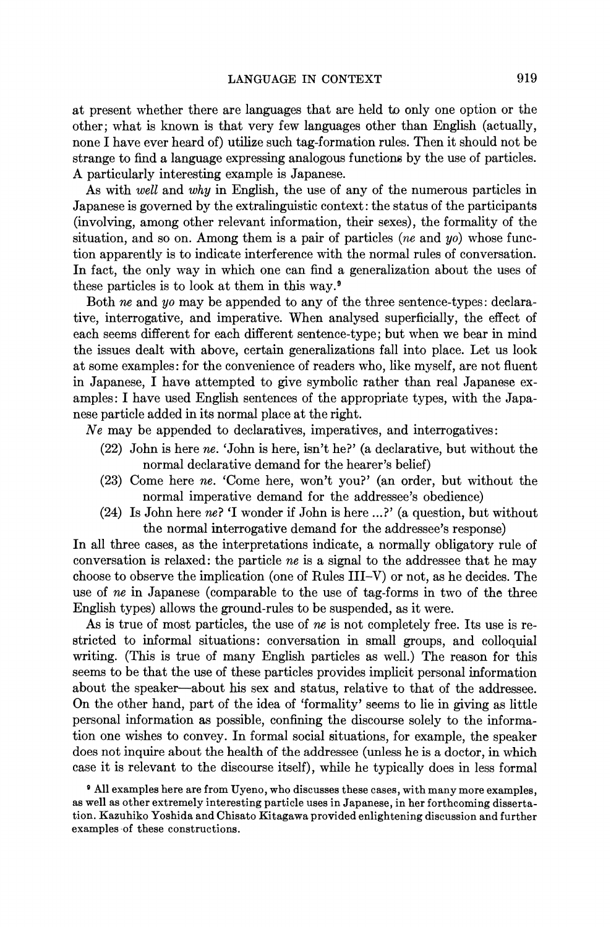**at present whether there are languages that are held to only one option or the other; what is known is that very few languages other than English (actually, none I have ever heard of) utilize such tag-formation rules. Then it should not be strange to find a language expressing analogous functions by the use of particles. A particularly interesting example is Japanese.** 

**As with well and why in English, the use of any of the numerous particles in Japanese is governed by the extralinguistic context: the status of the participants (involving, among other relevant information, their sexes), the formality of the**  situation, and so on. Among them is a pair of particles (*ne* and *yo*) whose func**tion apparently is to indicate interference with the normal rules of conversation. In fact, the only way in which one can find a generalization about the uses of these particles is to look at them in this way.9** 

**Both ne and yo may be appended to any of the three sentence-types: declarative, interrogative, and imperative. When analysed superficially, the effect of each seems different for each different sentence-type; but when we bear in mind the issues dealt with above, certain generalizations fall into place. Let us look at some examples: for the convenience of readers who, like myself, are not fluent in Japanese, I have attempted to give symbolic rather than real Japanese examples: I have used English sentences of the appropriate types, with the Japanese particle added in its normal place at the right.** 

**Ne may be appended to declaratives, imperatives, and interrogatives:** 

- **(22) John is here ne. 'John is here, isn't he?' (a declarative, but without the normal declarative demand for the hearer's belief)**
- **(23) Come here ne. 'Come here, won't you?' (an order, but without the normal imperative demand for the addressee's obedience)**
- **(24) Is John here ne? 'I wonder if John is here ...?' (a question, but without the normal interrogative demand for the addressee's response)**

**In all three cases, as the interpretations indicate, a normally obligatory rule of conversation is relaxed: the particle ne is a signal to the addressee that he may choose to observe the implication (one of Rules III-V) or not, as he decides. The use of ne in Japanese (comparable to the use of tag-forms in two of the three English types) allows the ground-rules to be suspended, as it were.** 

**As is true of most particles, the use of ne is not completely free. Its use is restricted to informal situations: conversation in small groups, and colloquial writing. (This is true of many English particles as well.) The reason for this seems to be that the use of these particles provides implicit personal information about the speaker-about his sex and status, relative to that of the addressee. On the other hand, part of the idea of 'formality' seems to lie in giving as little personal information as possible, confining the discourse solely to the information one wishes to convey. In formal social situations, for example, the speaker does not inquire about the health of the addressee (unless he is a doctor, in which case it is relevant to the discourse itself), while he typically does in less formal** 

**<sup>9</sup>All examples here are from Uyeno, who discusses these cases, with many more examples, as well as other extremely interesting particle uses in Japanese, in her forthcoming dissertation. Kazuhiko Yoshida and Chisato Kitagawa provided enlightening discussion and further examples of these constructions.**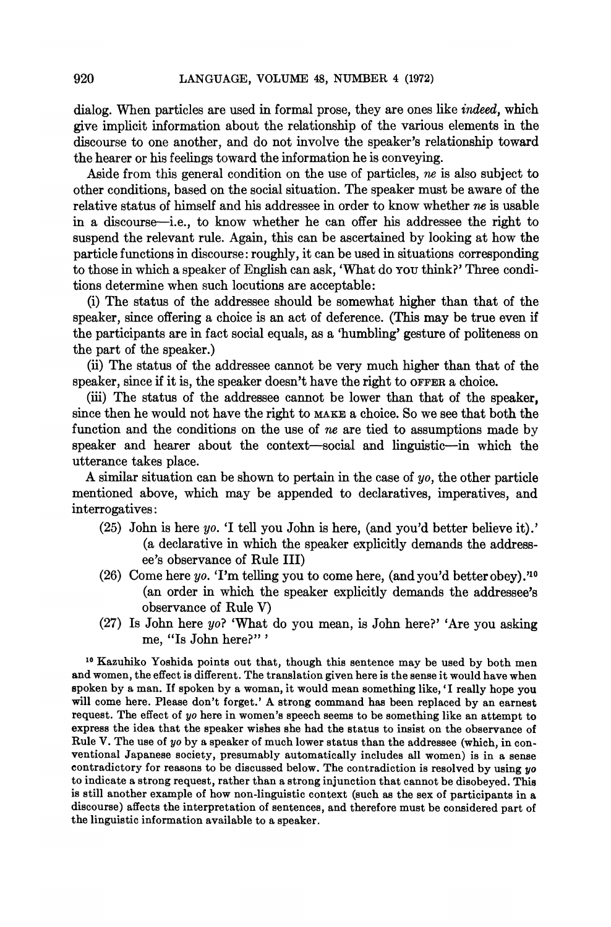**dialog. When particles are used in formal prose, they are ones like indeed, which give implicit information about the relationship of the various elements in the discourse to one another, and do not involve the speaker's relationship toward the hearer or his feelings toward the information he is conveying.** 

**Aside from this general condition on the use of particles, ne is also subject to other conditions, based on the social situation. The speaker must be aware of the relative status of himself and his addressee in order to know whether ne is usable in a discourse-i.e., to know whether he can offer his addressee the right to suspend the relevant rule. Again, this can be ascertained by looking at how the particle functions in discourse: roughly, it can be used in situations corresponding to those in which a speaker of English can ask, 'What do You think?' Three conditions determine when such locutions are acceptable:** 

**(i) The status of the addressee should be somewhat higher than that of the speaker, since offering a choice is an act of deference. (This may be true even if the participants are in fact social equals, as a 'humbling' gesture of politeness on the part of the speaker.)** 

**(ii) The status of the addressee cannot be very much higher than that of the speaker, since if it is, the speaker doesn't have the right to OFFER a choice.** 

**(iii) The status of the addressee cannot be lower than that of the speaker, since then he would not have the right to MAKE a choice. So we see that both the function and the conditions on the use of ne are tied to assumptions made by speaker and hearer about the context-social and linguistic-in which the utterance takes place.** 

**A similar situation can be shown to pertain in the case of yo, the other particle mentioned above, which may be appended to declaratives, imperatives, and interrogatives:** 

- **(25) John is here yo. 'I tell you John is here, (and you'd better believe it).' (a declarative in which the speaker explicitly demands the addressee's observance of Rule III)**
- **(26) Come here yo. 'I'm telling you to come here, (and you'd better obey).'"0 (an order in which the speaker explicitly demands the addressee's observance of Rule V)**
- **(27) Is John here yo? 'What do you mean, is John here?' 'Are you asking me, "Is John here?" '**

**10 Kazuhiko Yoshida points out that, though this sentence may be used by both men and women, the effect is different. The translation given here is the sense it would have when spoken by a man. If spoken by a woman, it would mean something like,' I really hope you will come here. Please don't forget.' A strong command has been replaced by an earnest request. The effect of yo here in women's speech seems to be something like an attempt to express the idea that the speaker wishes she had the status to insist on the observance of Rule V. The use of yo by a speaker of much lower status than the addressee (which, in conventional Japanese society, presumably automatically includes all women) is in a sense contradictory for reasons to be discussed below. The contradiction is resolved by using yo to indicate a strong request, rather than a strong injunction that cannot be disobeyed. This is still another example of how non-linguistic context (such as the sex of participants in a discourse) affects the interpretation of sentences, and therefore must be considered part of the linguistic information available to a speaker.**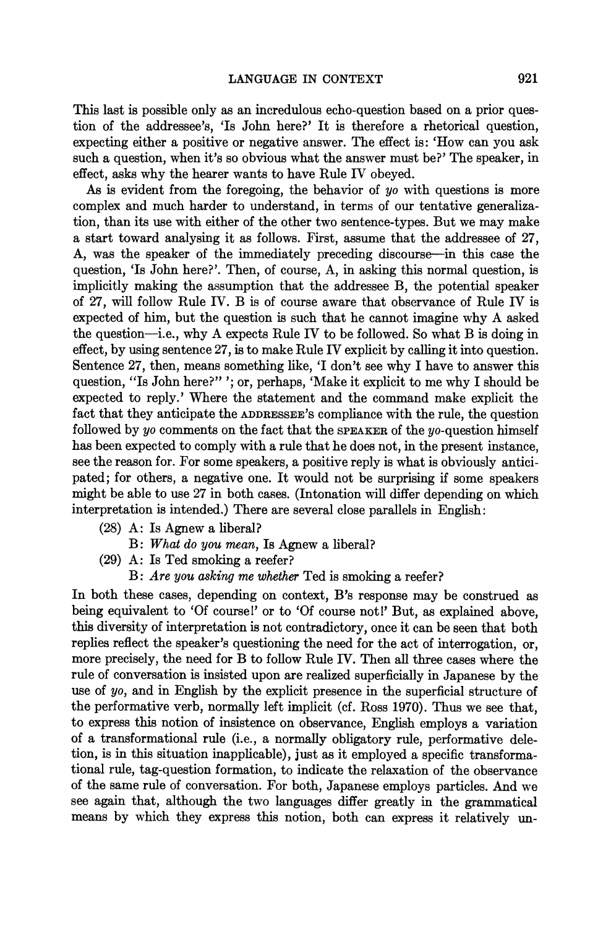**This last is possible only as an incredulous echo-question based on a prior question of the addressee's, 'Is John here?' It is therefore a rhetorical question, expecting either a positive or negative answer. The effect is: 'How can you ask such a question, when it's so obvious what the answer must be?' The speaker, in effect, asks why the hearer wants to have Rule IV obeyed.** 

**As is evident from the foregoing, the behavior of yo with questions is more complex and much harder to understand, in terms of our tentative generalization, than its use with either of the other two sentence-types. But we may make a start toward analysing it as follows. First, assume that the addressee of 27, A, was the speaker of the immediately preceding discourse-in this case the question, 'Is John here?'. Then, of course, A, in asking this normal question, is implicitly making the assumption that the addressee B, the potential speaker of 27, will follow Rule IV. B is of course aware that observance of Rule IV is expected of him, but the question is such that he cannot imagine why A asked the question-i.e., why A expects Rule IV to be followed. So what B is doing in effect, by using sentence 27, is to make Rule IV explicit by calling it into question. Sentence 27, then, means something like, 'I don't see why I have to answer this question, "Is John here?" '; or, perhaps, 'Make it explicit to me why I should be expected to reply.' Where the statement and the command make explicit the fact that they anticipate the ADDRESSEE'S compliance with the rule, the question followed by yo comments on the fact that the SPEAKER of the yo-question himself has been expected to comply with a rule that he does not, in the present instance, see the reason for. For some speakers, a positive reply is what is obviously anticipated; for others, a negative one. It would not be surprising if some speakers might be able to use 27 in both cases. (Intonation will differ depending on which interpretation is intended.) There are several close parallels in English:** 

- **(28) A: Is Agnew a liberal?** 
	- **B: What do you mean, Is Agnew a liberal?**
- **(29) A: Is Ted smoking a reefer?** 
	- **B: Are you asking me whether Ted is smoking a reefer?**

**In both these cases, depending on context, B's response may be construed as being equivalent to 'Of course!' or to 'Of course not!' But, as explained above, this diversity of interpretation is not contradictory, once it can be seen that both replies reflect the speaker's questioning the need for the act of interrogation, or, more precisely, the need for B to follow Rule IV. Then all three cases where the rule of conversation is insisted upon are realized superficially in Japanese by the use of yo, and in English by the explicit presence in the superficial structure of the performative verb, normally left implicit (cf. Ross 1970). Thus we see that, to express this notion of insistence on observance, English employs a variation of a transformational rule (i.e., a normally obligatory rule, performative deletion, is in this situation inapplicable), just as it employed a specific transformational rule, tag-question formation, to indicate the relaxation of the observance of the same rule of conversation. For both, Japanese employs particles. And we see again that, although the two languages differ greatly in the grammatical means by which they express this notion, both can express it relatively un-**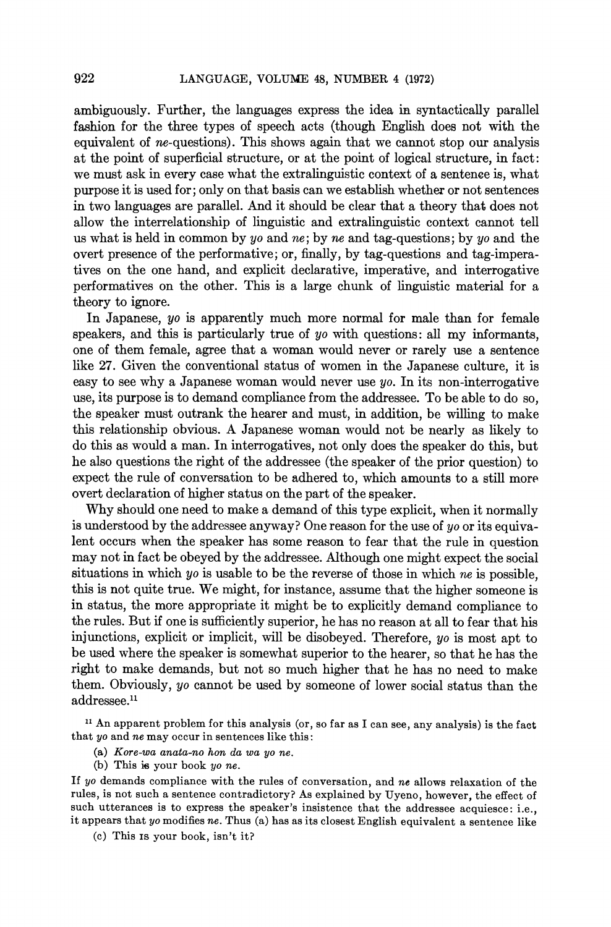**ambiguously. Further, the languages express the idea in syntactically parallel fashion for the three types of speech acts (though English does not with the equivalent of ne-questions). This shows again that we cannot stop our analysis at the point of superficial structure, or at the point of logical structure, in fact: we must ask in every case what the extralinguistic context of a sentence is, what purpose it is used for; only on that basis can we establish whether or not sentences in two languages are parallel. And it should be clear that a theory that does not allow the interrelationship of linguistic and extralinguistic context cannot tell us what is held in common by yo and ne; by ne and tag-questions; by yo and the overt presence of the performative; or, finally, by tag-questions and tag-imperatives on the one hand, and explicit declarative, imperative, and interrogative performatives on the other. This is a large chunk of linguistic material for a theory to ignore.** 

**In Japanese, yo is apparently much more normal for male than for female speakers, and this is particularly true of yo with questions: all my informants, one of them female, agree that a woman would never or rarely use a sentence like 27. Given the conventional status of women in the Japanese culture, it is easy to see why a Japanese woman would never use yo. In its non-interrogative use, its purpose is to demand compliance from the addressee. To be able to do so, the speaker must outrank the hearer and must, in addition, be willing to make this relationship obvious. A Japanese woman would not be nearly as likely to do this as would a man. In interrogatives, not only does the speaker do this, but he also questions the right of the addressee (the speaker of the prior question) to expect the rule of conversation to be adhered to, which amounts to a still more overt declaration of higher status on the part of the speaker.** 

**Why should one need to make a demand of this type explicit, when it normally is understood by the addressee anyway? One reason for the use of yo or its equivalent occurs when the speaker has some reason to fear that the rule in question may not in fact be obeyed by the addressee. Although one might expect the social situations in which yo is usable to be the reverse of those in which ne is possible, this is not quite true. We might, for instance, assume that the higher someone is in status, the more appropriate it might be to explicitly demand compliance to the rules. But if one is sufficiently superior, he has no reason at all to fear that his injunctions, explicit or implicit, will be disobeyed. Therefore, yo is most apt to be used where the speaker is somewhat superior to the hearer, so that he has the right to make demands, but not so much higher that he has no need to make them. Obviously, yo cannot be used by someone of lower social status than the addressee."** 

**11 An apparent problem for this analysis (or, so far as I can see, any analysis) is the fact that yo and ne may occur in sentences like this:** 

- **(a) Kore-wa anata-no hon da wa yo ne.**
- **(b) This ie your book yo ne.**

**If yo demands compliance with the rules of conversation, and ne allows relaxation of the rules, is not such a sentence contradictory? As explained by Uyeno, however, the effect of such utterances is to express the speaker's insistence that the addressee acquiesce: i.e., it appears that yo modifies ne. Thus (a) has as its closest English equivalent a sentence like** 

**(c) This is your book, isn't it?**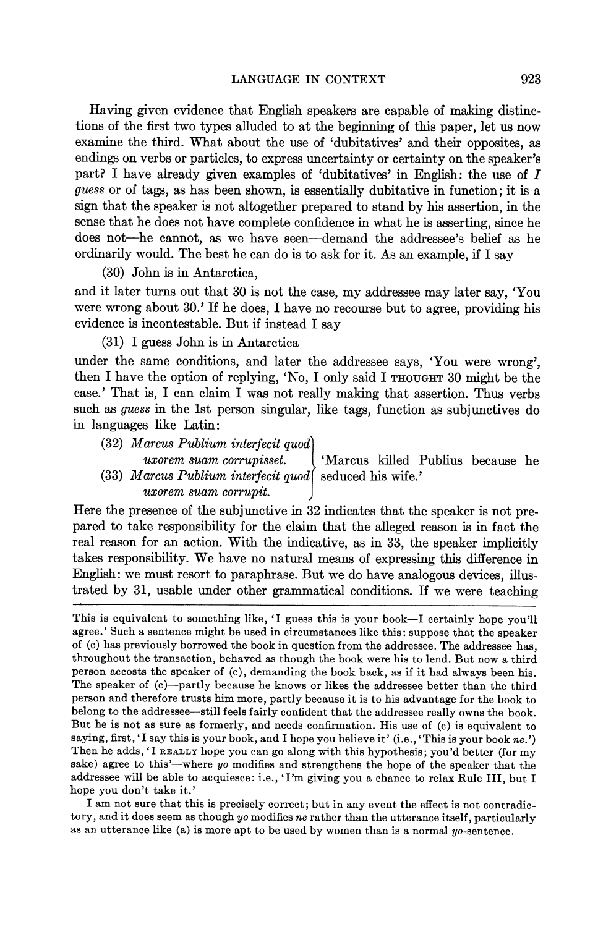**Having given evidence that English speakers are capable of making distinctions of the first two types alluded to at the beginning of this paper, let us now examine the third. What about the use of 'dubitatives' and their opposites, as endings on verbs or particles, to express uncertainty or certainty on the speaker's part? I have already given examples of 'dubitatives' in English: the use of I guess or of tags, as has been shown, is essentially dubitative in function; it is a sign that the speaker is not altogether prepared to stand by his assertion, in the sense that he does not have complete confidence in what he is asserting, since he does not-he cannot, as we have seen-demand the addressee's belief as he ordinarily would. The best he can do is to ask for it. As an example, if I say** 

**(30) John is in Antarctica,** 

**and it later turns out that 30 is not the case, my addressee may later say, 'You were wrong about 30.' If he does, I have no recourse but to agree, providing his evidence is incontestable. But if instead I say** 

**(31) I guess John is in Antarctica** 

**under the same conditions, and later the addressee says, 'You were wrong', then I have the option of replying, 'No, I only said I THOUGHT 30 might be the case.' That is, I can claim I was not really making that assertion. Thus verbs such as guess in the 1st person singular, like tags, function as subjunctives do in languages like Latin:** 

- **(32) Marcus Publium interfecit quod]**
- (33) Marcus Publium interfecit quod [seduced his wife.'  $u$ *zorem suam corrupit.*

**uxorem suam corrupisset. l 'Marcus killed Publius because he** 

**Here the presence of the subjunctive in 32 indicates that the speaker is not prepared to take responsibility for the claim that the alleged reason is in fact the real reason for an action. With the indicative, as in 33, the speaker implicitly takes responsibility. We have no natural means of expressing this difference in English: we must resort to paraphrase. But we do have analogous devices, illustrated by 31, usable under other grammatical conditions. If we were teaching** 

**This is equivalent to something like, 'I guess this is your book-I certainly hope you'll agree.' Such a sentence might be used in circumstances like this: suppose that the speaker of (c) has previously borrowed the book in question from the addressee. The addressee has, throughout the transaction, behaved as though the book were his to lend. But now a third person accosts the speaker of (c), demanding the book back, as if it had always been his. The speaker of (c)-partly because he knows or likes the addressee better than the third person and therefore trusts him more, partly because it is to his advantage for the book to belong to the addressee-still feels fairly confident that the addressee really owns the book. But he is not as sure as formerly, and needs confirmation. His use of (c) is equivalent to saying, first, 'I say this is your book, and I hope you believe it' (i.e., 'This is your book ne.') Then he adds, 'I REALLY hope you can go along with this hypothesis; you'd better (for my**  sake) agree to this'-where yo modifies and strengthens the hope of the speaker that the **addressee will be able to acquiesce: i.e., 'I'm giving you a chance to relax Rule III, but I hope you don't take it.'** 

**I am not sure that this is precisely correct; but in any event the effect is not contradictory, and it does seem as though yo modifies ne rather than the utterance itself, particularly as an utterance like (a) is more apt to be used by women than is a normal yo-sentence.**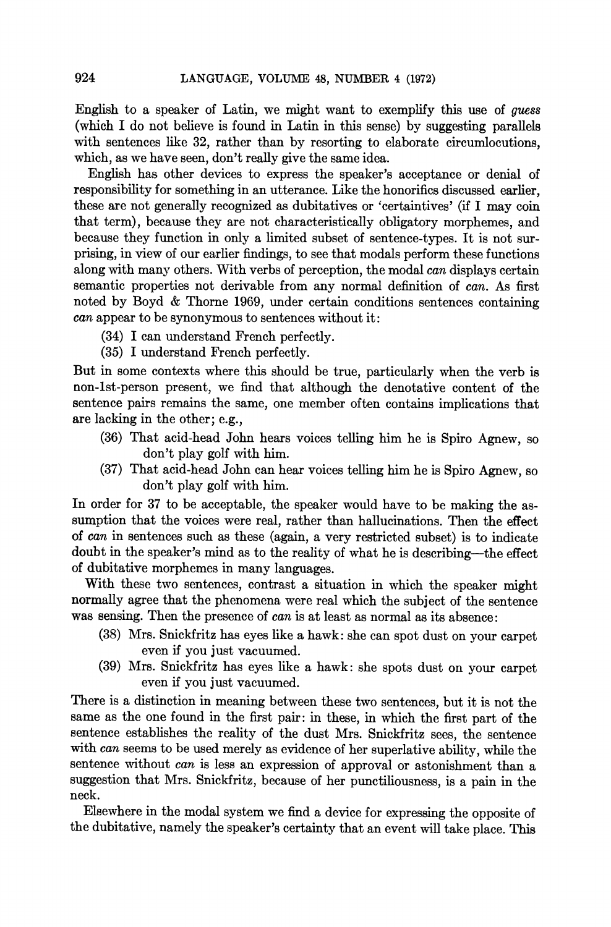**English to a speaker of Latin, we might want to exemplify this use of guess (which I do not believe is found in Latin in this sense) by suggesting parallels with sentences like 32, rather than by resorting to elaborate circumlocutions, which, as we have seen, don't really give the same idea.** 

**English has other devices to express the speaker's acceptance or denial of responsibility for something in an utterance. Like the honorifics discussed earlier, these are not generally recognized as dubitatives or 'certaintives' (if I may coin that term), because they are not characteristically obligatory morphemes, and because they function in only a limited subset of sentence-types. It is not surprising, in view of our earlier findings, to see that modals perform these functions along with many others. With verbs of perception, the modal can displays certain semantic properties not derivable from any normal definition of can. As first noted by Boyd & Thorne 1969, under certain conditions sentences containing can appear to be synonymous to sentences without it:** 

- **(34) I can understand French perfectly.**
- **(35) I understand French perfectly.**

**But in some contexts where this should be true, particularly when the verb is non-lst-person present, we find that although the denotative content of the sentence pairs remains the same, one member often contains implications that are lacking in the other; e.g.,** 

- **(36) That acid-head John hears voices telling him he is Spiro Agnew, so don't play golf with him.**
- **(37) That acid-head John can hear voices telling him he is Spiro Agnew, so don't play golf with him.**

**In order for 37 to be acceptable, the speaker would have to be making the assumption that the voices were real, rather than hallucinations. Then the effect of can in sentences such as these (again, a very restricted subset) is to indicate doubt in the speaker's mind as to the reality of what he is describing-the effect of dubitative morphemes in many languages.** 

**With these two sentences, contrast a situation in which the speaker might normally agree that the phenomena were real which the subject of the sentence was sensing. Then the presence of can is at least as normal as its absence:** 

- **(38) Mrs. Snickfritz has eyes like a hawk: she can spot dust on your carpet even if you just vacuumed.**
- **(39) Mrs. Snickfritz has eyes like a hawk: she spots dust on your carpet even if you just vacuumed.**

**There is a distinction in meaning between these two sentences, but it is not the same as the one found in the first pair: in these, in which the first part of the sentence establishes the reality of the dust Mrs. Snickfritz sees, the sentence**  with *can* seems to be used merely as evidence of her superlative ability, while the **sentence without can is less an expression of approval or astonishment than a suggestion that Mrs. Snickfritz, because of her punctiliousness, is a pain in the neck.** 

**Elsewhere in the modal system we find a device for expressing the opposite of the dubitative, namely the speaker's certainty that an event will take place. This**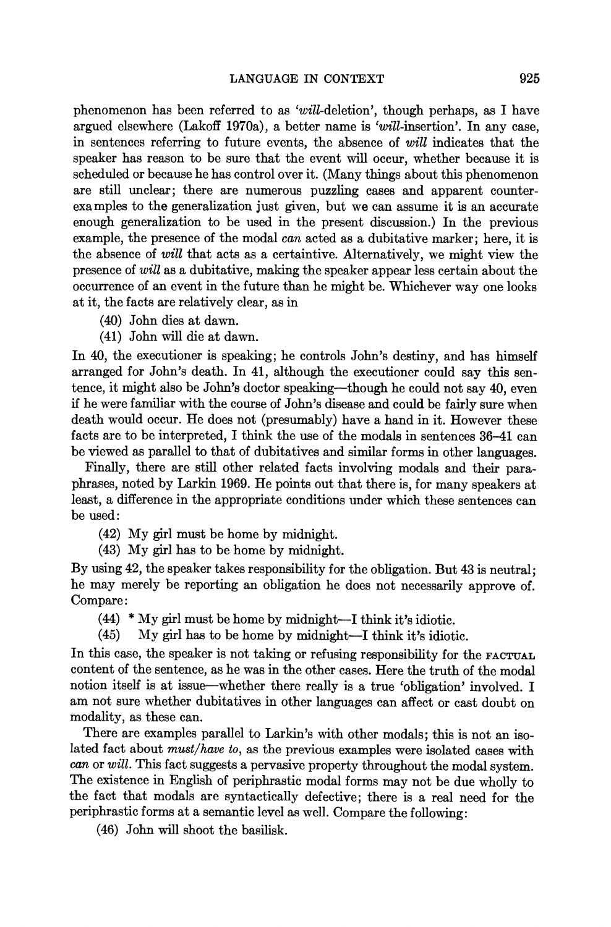**phenomenon has been referred to as 'will-deletion', though perhaps, as I have argued elsewhere (Lakoff 1970a), a better name is 'will-insertion'. In any case, in sentences referring to future events, the absence of will indicates that the speaker has reason to be sure that the event will occur, whether because it is scheduled or because he has control over it. (Many things about this phenomenon are still unclear; there are numerous puzzling cases and apparent counterexamples to the generalization just given, but we can assume it is an accurate enough generalization to be used in the present discussion.) In the previous example, the presence of the modal can acted as a dubitative marker; here, it is the absence of will that acts as a certaintive. Alternatively, we might view the presence of will as a dubitative, making the speaker appear less certain about the occurrence of an event in the future than he might be. Whichever way one looks at it, the facts are relatively clear, as in** 

- **(40) John dies at dawn.**
- **(41) John will die at dawn.**

**In 40, the executioner is speaking; he controls John's destiny, and has himself arranged for John's death. In 41, although the executioner could say this sentence, it might also be John's doctor speaking-though he could not say 40, even if he were familiar with the course of John's disease and could be fairly sure when death would occur. He does not (presumably) have a hand in it. However these facts are to be interpreted, I think the use of the modals in sentences 36-41 can be viewed as parallel to that of dubitatives and similar forms in other languages.** 

**Finally, there are still other related facts involving modals and their paraphrases, noted by Larkin 1969. He points out that there is, for many speakers at least, a difference in the appropriate conditions under which these sentences can be used:** 

- **(42) My girl must be home by midnight.**
- **(43) My girl has to be home by midnight.**

**By using 42, the speaker takes responsibility for the obligation. But 43 is neutral; he may merely be reporting an obligation he does not necessarily approve of. Compare:** 

- **(44) \* My girl must be home by midnight-I think it's idiotic.**
- **(45) My girl has to be home by midnight-I think it's idiotic.**

In this case, the speaker is not taking or refusing responsibility for the **FACTUAL content of the sentence, as he was in the other cases. Here the truth of the modal notion itself is at issue-whether there really is a true 'obligation' involved. I am not sure whether dubitatives in other languages can affect or cast doubt on modality, as these can.** 

**There are examples parallel to Larkin's with other modals; this is not an isolated fact about must/have to, as the previous examples were isolated cases with can or will. This fact suggests a pervasive property throughout the modal system. The existence in English of periphrastic modal forms may not be due wholly to the fact that modals are syntactically defective; there is a real need for the periphrastic forms at a semantic level as well. Compare the following:** 

**(46) John will shoot the basilisk.**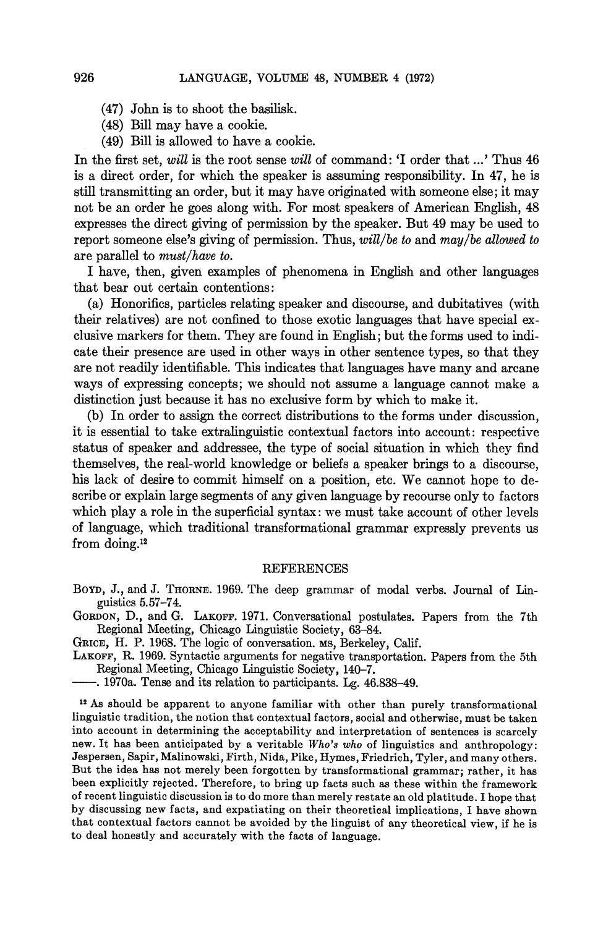- **(47) John is to shoot the basilisk.**
- **(48) Bill may have a cookie.**
- **(49) Bill is allowed to have a cookie.**

**In the first set, will is the root sense will of command: 'I order that ...' Thus 46 is a direct order, for which the speaker is assuming responsibility. In 47, he is still transmitting an order, but it may have originated with someone else; it may not be an order he goes along with. For most speakers of American English, 48 expresses the direct giving of permission by the speaker. But 49 may be used to report someone else's giving of permission. Thus, will/be to and may/be allowed to are parallel to must/have to.** 

**I have, then, given examples of phenomena in English and other languages that bear out certain contentions:** 

**(a) Honorifics, particles relating speaker and discourse, and dubitatives (with their relatives) are not confined to those exotic languages that have special exclusive markers for them. They are found in English; but the forms used to indicate their presence are used in other ways in other sentence types, so that they are not readily identifiable. This indicates that languages have many and arcane ways of expressing concepts; we should not assume a language cannot make a distinction just because it has no exclusive form by which to make it.** 

**(b) In order to assign the correct distributions to the forms under discussion, it is essential to take extralinguistic contextual factors into account: respective status of speaker and addressee, the type of social situation in which they find themselves, the real-world knowledge or beliefs a speaker brings to a discourse, his lack of desire to commit himself on a position, etc. We cannot hope to describe or explain large segments of any given language by recourse only to factors which play a role in the superficial syntax: we must take account of other levels of language, which traditional transformational grammar expressly prevents us from doing.l2** 

## **REFERENCES**

BoYD, J., and J. THORNE. 1969. The deep grammar of modal verbs. Journal of Lin**guistics 5.57-74.** 

**GORDON, D., and G. LAKOFF. 1971. Conversational postulates. Papers from the 7th Regional Meeting, Chicago Linguistic Society, 63-84.** 

**GRICE, H. P. 1968. The logic of conversation. Ms, Berkeley, Calif.** 

**LAKOFF, R. 1969. Syntactic arguments for negative transportation. Papers from the 5th Regional Meeting, Chicago Linguistic Society, 140-7.** 

**--. 1970a. Tense and its relation to participants. Lg. 46.838-49.** 

**<sup>12</sup>As should be apparent to anyone familiar with other than purely transformational linguistic tradition, the notion that contextual factors, social and otherwise, must be taken into account in determining the acceptability and interpretation of sentences is scarcely new. It has been anticipated by a veritable Who's who of linguistics and anthropology: Jespersen, Sapir, Malinowski, Firth, Nida, Pike, Hymes, Friedrich, Tyler, and many others. But the idea has not merely been forgotten by transformational grammar; rather, it has been explicitly rejected. Therefore, to bring up facts such as these within the framework of recent linguistic discussion is to do more than merely restate an old platitude. I hope that by discussing new facts, and expatiating on their theoretical implications, I have shown that contextual factors cannot be avoided by the linguist of any theoretical view, if he is to deal honestly and accurately with the facts of language.**